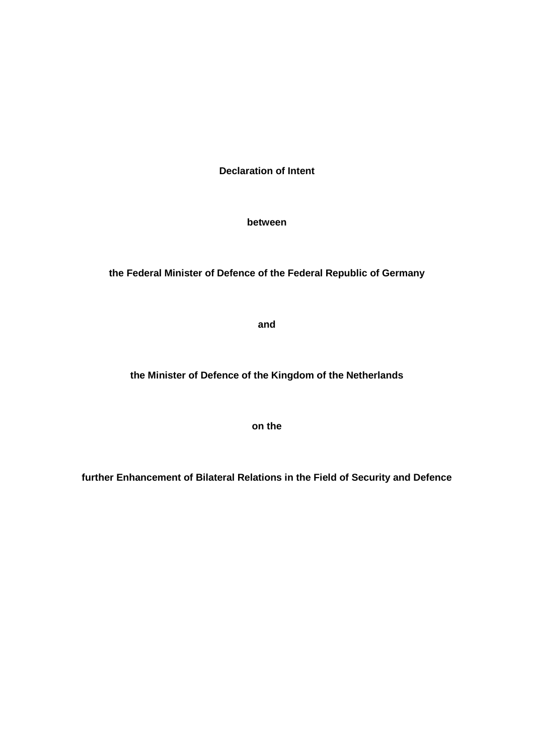**Declaration of Intent**

**between**

**the Federal Minister of Defence of the Federal Republic of Germany**

**and**

**the Minister of Defence of the Kingdom of the Netherlands**

**on the**

**further Enhancement of Bilateral Relations in the Field of Security and Defence**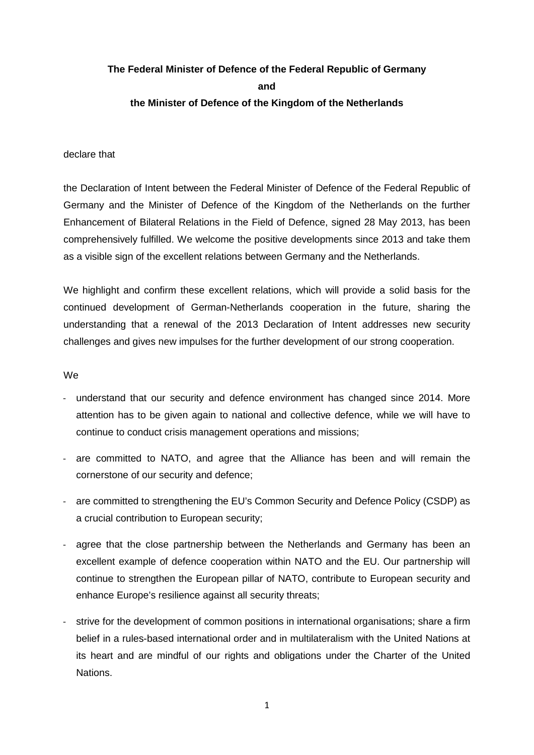# **The Federal Minister of Defence of the Federal Republic of Germany and the Minister of Defence of the Kingdom of the Netherlands**

### declare that

the Declaration of Intent between the Federal Minister of Defence of the Federal Republic of Germany and the Minister of Defence of the Kingdom of the Netherlands on the further Enhancement of Bilateral Relations in the Field of Defence, signed 28 May 2013, has been comprehensively fulfilled. We welcome the positive developments since 2013 and take them as a visible sign of the excellent relations between Germany and the Netherlands.

We highlight and confirm these excellent relations, which will provide a solid basis for the continued development of German-Netherlands cooperation in the future, sharing the understanding that a renewal of the 2013 Declaration of Intent addresses new security challenges and gives new impulses for the further development of our strong cooperation.

#### We

- understand that our security and defence environment has changed since 2014. More attention has to be given again to national and collective defence, while we will have to continue to conduct crisis management operations and missions;
- are committed to NATO, and agree that the Alliance has been and will remain the cornerstone of our security and defence;
- are committed to strengthening the EU's Common Security and Defence Policy (CSDP) as a crucial contribution to European security;
- agree that the close partnership between the Netherlands and Germany has been an excellent example of defence cooperation within NATO and the EU. Our partnership will continue to strengthen the European pillar of NATO, contribute to European security and enhance Europe's resilience against all security threats;
- strive for the development of common positions in international organisations; share a firm belief in a rules-based international order and in multilateralism with the United Nations at its heart and are mindful of our rights and obligations under the Charter of the United Nations.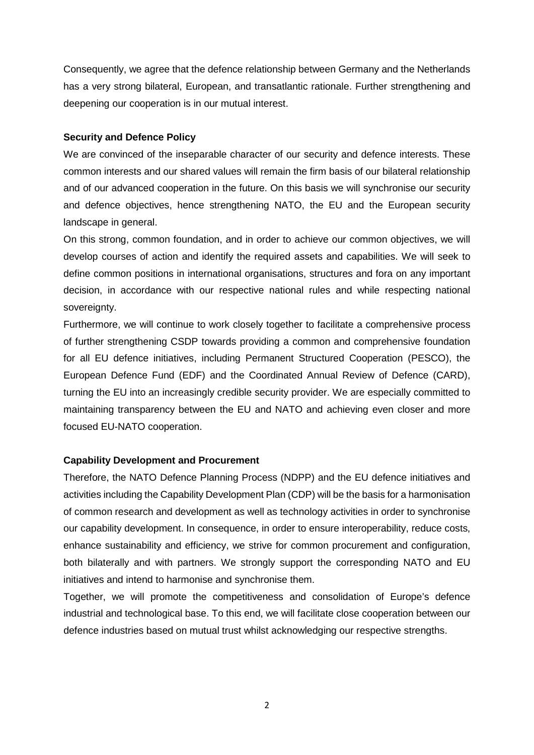Consequently, we agree that the defence relationship between Germany and the Netherlands has a very strong bilateral, European, and transatlantic rationale. Further strengthening and deepening our cooperation is in our mutual interest.

# **Security and Defence Policy**

We are convinced of the inseparable character of our security and defence interests. These common interests and our shared values will remain the firm basis of our bilateral relationship and of our advanced cooperation in the future. On this basis we will synchronise our security and defence objectives, hence strengthening NATO, the EU and the European security landscape in general.

On this strong, common foundation, and in order to achieve our common objectives, we will develop courses of action and identify the required assets and capabilities. We will seek to define common positions in international organisations, structures and fora on any important decision, in accordance with our respective national rules and while respecting national sovereignty.

Furthermore, we will continue to work closely together to facilitate a comprehensive process of further strengthening CSDP towards providing a common and comprehensive foundation for all EU defence initiatives, including Permanent Structured Cooperation (PESCO), the European Defence Fund (EDF) and the Coordinated Annual Review of Defence (CARD), turning the EU into an increasingly credible security provider. We are especially committed to maintaining transparency between the EU and NATO and achieving even closer and more focused EU-NATO cooperation.

# **Capability Development and Procurement**

Therefore, the NATO Defence Planning Process (NDPP) and the EU defence initiatives and activities including the Capability Development Plan (CDP) will be the basis for a harmonisation of common research and development as well as technology activities in order to synchronise our capability development. In consequence, in order to ensure interoperability, reduce costs, enhance sustainability and efficiency, we strive for common procurement and configuration, both bilaterally and with partners. We strongly support the corresponding NATO and EU initiatives and intend to harmonise and synchronise them.

Together, we will promote the competitiveness and consolidation of Europe's defence industrial and technological base. To this end, we will facilitate close cooperation between our defence industries based on mutual trust whilst acknowledging our respective strengths.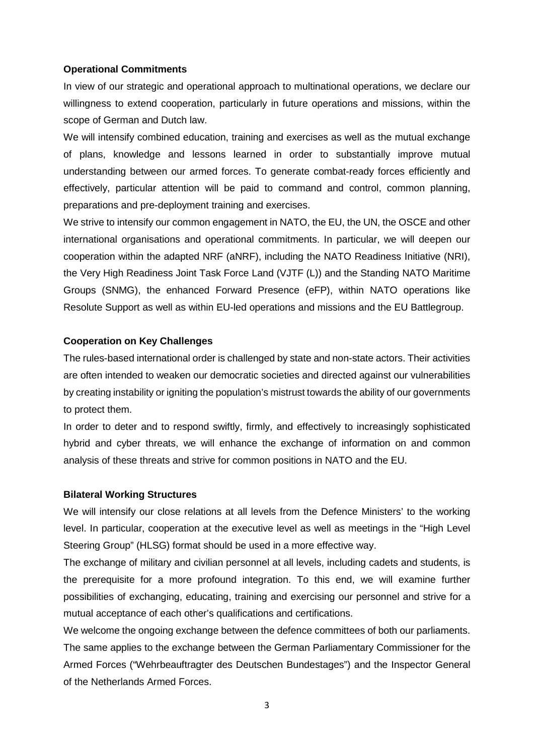#### **Operational Commitments**

In view of our strategic and operational approach to multinational operations, we declare our willingness to extend cooperation, particularly in future operations and missions, within the scope of German and Dutch law.

We will intensify combined education, training and exercises as well as the mutual exchange of plans, knowledge and lessons learned in order to substantially improve mutual understanding between our armed forces. To generate combat-ready forces efficiently and effectively, particular attention will be paid to command and control, common planning, preparations and pre-deployment training and exercises.

We strive to intensify our common engagement in NATO, the EU, the UN, the OSCE and other international organisations and operational commitments. In particular, we will deepen our cooperation within the adapted NRF (aNRF), including the NATO Readiness Initiative (NRI), the Very High Readiness Joint Task Force Land (VJTF (L)) and the Standing NATO Maritime Groups (SNMG), the enhanced Forward Presence (eFP), within NATO operations like Resolute Support as well as within EU-led operations and missions and the EU Battlegroup.

## **Cooperation on Key Challenges**

The rules-based international order is challenged by state and non-state actors. Their activities are often intended to weaken our democratic societies and directed against our vulnerabilities by creating instability or igniting the population's mistrust towards the ability of our governments to protect them.

In order to deter and to respond swiftly, firmly, and effectively to increasingly sophisticated hybrid and cyber threats, we will enhance the exchange of information on and common analysis of these threats and strive for common positions in NATO and the EU.

#### **Bilateral Working Structures**

We will intensify our close relations at all levels from the Defence Ministers' to the working level. In particular, cooperation at the executive level as well as meetings in the "High Level Steering Group" (HLSG) format should be used in a more effective way.

The exchange of military and civilian personnel at all levels, including cadets and students, is the prerequisite for a more profound integration. To this end, we will examine further possibilities of exchanging, educating, training and exercising our personnel and strive for a mutual acceptance of each other's qualifications and certifications.

We welcome the ongoing exchange between the defence committees of both our parliaments. The same applies to the exchange between the German Parliamentary Commissioner for the Armed Forces ("Wehrbeauftragter des Deutschen Bundestages") and the Inspector General of the Netherlands Armed Forces.